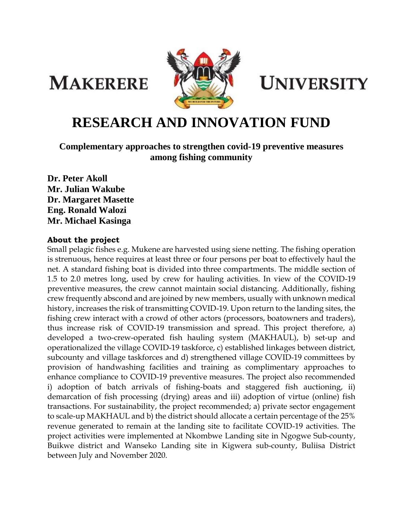**MAKERERE** 



**UNIVERSITY** 

# **RESEARCH AND INNOVATION FUND**

**Complementary approaches to strengthen covid-19 preventive measures among fishing community**

**Dr. Peter Akoll Mr. Julian Wakube Dr. Margaret Masette Eng. Ronald Walozi Mr. Michael Kasinga**

#### **About the project**

Small pelagic fishes e.g. Mukene are harvested using siene netting. The fishing operation is strenuous, hence requires at least three or four persons per boat to effectively haul the net. A standard fishing boat is divided into three compartments. The middle section of 1.5 to 2.0 metres long, used by crew for hauling activities. In view of the COVID-19 preventive measures, the crew cannot maintain social distancing. Additionally, fishing crew frequently abscond and are joined by new members, usually with unknown medical history, increases the risk of transmitting COVID-19. Upon return to the landing sites, the fishing crew interact with a crowd of other actors (processors, boatowners and traders), thus increase risk of COVID-19 transmission and spread. This project therefore, a) developed a two-crew-operated fish hauling system (MAKHAUL), b) set-up and operationalized the village COVID-19 taskforce, c) established linkages between district, subcounty and village taskforces and d) strengthened village COVID-19 committees by provision of handwashing facilities and training as complimentary approaches to enhance compliance to COVID-19 preventive measures. The project also recommended i) adoption of batch arrivals of fishing-boats and staggered fish auctioning, ii) demarcation of fish processing (drying) areas and iii) adoption of virtue (online) fish transactions. For sustainability, the project recommended; a) private sector engagement to scale-up MAKHAUL and b) the district should allocate a certain percentage of the 25% revenue generated to remain at the landing site to facilitate COVID-19 activities. The project activities were implemented at Nkombwe Landing site in Ngogwe Sub-county, Buikwe district and Wanseko Landing site in Kigwera sub-county, Buliisa District between July and November 2020.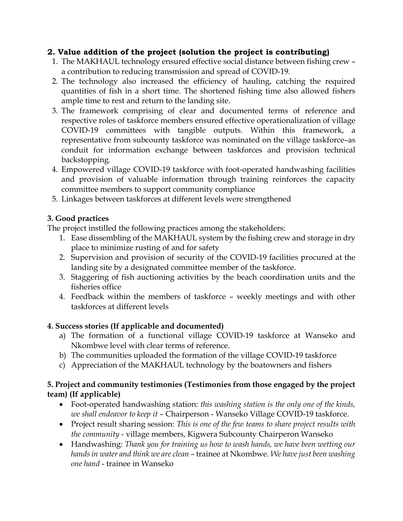#### **2. Value addition of the project (solution the project is contributing)**

- 1. The MAKHAUL technology ensured effective social distance between fishing crew a contribution to reducing transmission and spread of COVID-19.
- 2. The technology also increased the efficiency of hauling, catching the required quantities of fish in a short time. The shortened fishing time also allowed fishers ample time to rest and return to the landing site.
- 3. The framework comprising of clear and documented terms of reference and respective roles of taskforce members ensured effective operationalization of village COVID-19 committees with tangible outputs. Within this framework, a representative from subcounty taskforce was nominated on the village taskforce–as conduit for information exchange between taskforces and provision technical backstopping.
- 4. Empowered village COVID-19 taskforce with foot-operated handwashing facilities and provision of valuable information through training reinforces the capacity committee members to support community compliance
- 5. Linkages between taskforces at different levels were strengthened

## **3. Good practices**

The project instilled the following practices among the stakeholders:

- 1. Ease dissembling of the MAKHAUL system by the fishing crew and storage in dry place to minimize rusting of and for safety
- 2. Supervision and provision of security of the COVID-19 facilities procured at the landing site by a designated committee member of the taskforce.
- 3. Staggering of fish auctioning activities by the beach coordination units and the fisheries office
- 4. Feedback within the members of taskforce weekly meetings and with other taskforces at different levels

## **4. Success stories (If applicable and documented)**

- a) The formation of a functional village COVID-19 taskforce at Wanseko and Nkombwe level with clear terms of reference.
- b) The communities uploaded the formation of the village COVID-19 taskforce
- c) Appreciation of the MAKHAUL technology by the boatowners and fishers

## **5. Project and community testimonies (Testimonies from those engaged by the project team) (If applicable)**

- Foot-operated handwashing station: *this washing station is the only one of the kinds, we shall endeavor to keep it* – Chairperson - Wanseko Village COVID-19 taskforce.
- Project result sharing session: *This is one of the few teams to share project results with the community* - village members, Kigwera Subcounty Chairperon Wanseko
- Handwashing: *Thank you for training us how to wash hands, we have been wetting our hands in water and think we are clean* – trainee at Nkombwe. *We have just been washing one hand* - trainee in Wanseko